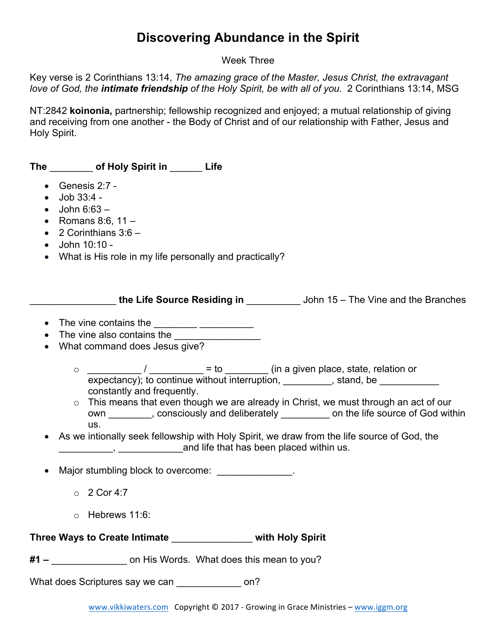## **Discovering Abundance in the Spirit**

## Week Three

Key verse is 2 Corinthians 13:14, *The amazing grace of the Master, Jesus Christ, the extravagant love of God, the intimate friendship of the Holy Spirit, be with all of you.* 2 Corinthians 13:14, MSG

NT:2842 **koinonia,** partnership; fellowship recognized and enjoyed; a mutual relationship of giving and receiving from one another - the Body of Christ and of our relationship with Father, Jesus and Holy Spirit.

**The** \_\_\_\_\_\_\_\_ **of Holy Spirit in** \_\_\_\_\_\_ **Life** 

- Genesis 2:7 -
- $\bullet$  Job 33:4 -
- $\bullet$  John 6:63  $-$
- Romans 8:6,  $11 -$
- $\bullet$  2 Corinthians 3:6  $-$
- John 10:10 -
- What is His role in my life personally and practically?

\_\_\_\_\_\_\_\_\_\_\_\_\_\_\_\_ **the Life Source Residing in** \_\_\_\_\_\_\_\_\_\_ John 15 – The Vine and the Branches

- The vine contains the  $\frac{1}{2}$
- The vine also contains the
- What command does Jesus give?
	- $\circ$  \_\_\_\_\_\_\_\_\_\_\_\_\_\_\_\_/ \_\_\_\_\_\_\_\_\_\_\_\_\_ = to \_\_\_\_\_\_\_\_\_\_\_ (in a given place, state, relation or expectancy); to continue without interruption, \_\_\_\_\_\_\_\_, stand, be \_\_\_\_\_\_\_\_\_\_\_ constantly and frequently.
	- o This means that even though we are already in Christ, we must through an act of our own \_\_\_\_\_\_\_, consciously and deliberately \_\_\_\_\_\_\_\_ on the life source of God within us.
- As we intionally seek fellowship with Holy Spirit, we draw from the life source of God, the **EXECUTE:** And life that has been placed within us.
- Major stumbling block to overcome: \_\_\_\_\_\_\_\_\_\_\_\_\_\_.
	- $\circ$  2 Cor 4:7
	- o Hebrews 11:6:

**Three Ways to Create Intimate** \_\_\_\_\_\_\_\_\_\_\_\_\_\_\_ **with Holy Spirit** 

**#1 –** \_\_\_\_\_\_\_\_\_\_\_\_\_\_ on His Words. What does this mean to you?

What does Scriptures say we can \_\_\_\_\_\_\_\_\_\_\_\_\_\_ on?